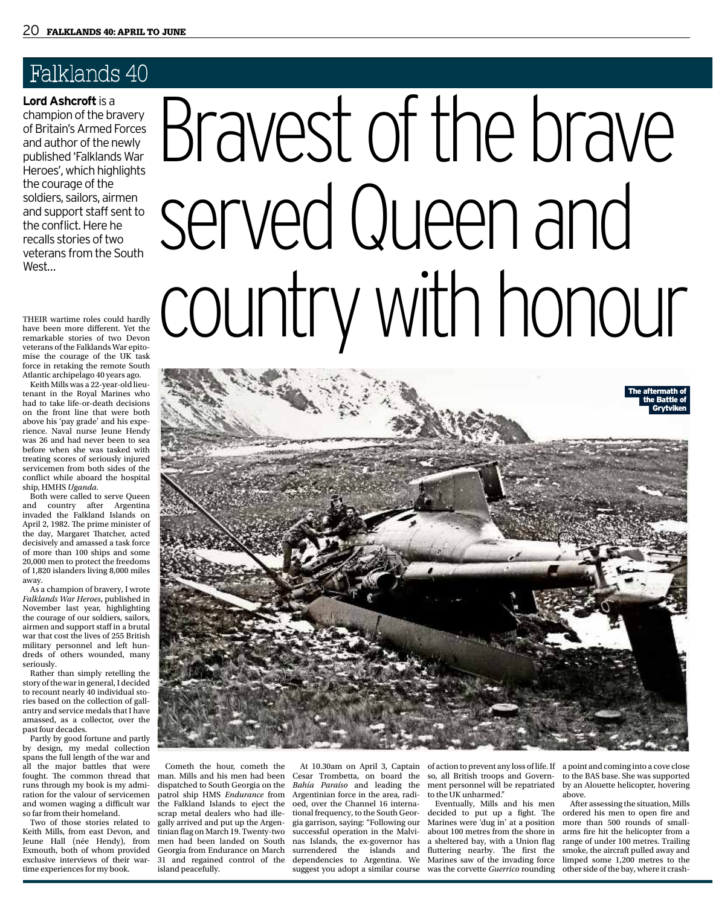**Lord Ashcroft** is a champion of the bravery of Britain's Armed Forces and author of the newly published 'Falklands War Heroes', which highlights the courage of the soldiers, sailors, airmen and support staff sent to the conflict. Here he recalls stories of two veterans from the South West…

THEIR wartime roles could hardly have been more different. Yet the remarkable stories of two Devon veterans of the Falklands War epitomise the courage of the UK task force in retaking the remote South Atlantic archipelago 40 years ago.

Keith Mills was a 22-year-old lieutenant in the Royal Marines who had to take life-or-death decisions on the front line that were both above his 'pay grade' and his experience. Naval nurse Jeune Hendy was 26 and had never been to sea before when she was tasked with treating scores of seriously injured servicemen from both sides of the conflict while aboard the hospital ship, HMHS *Uganda*.

Both were called to serve Queen and country after Argentina invaded the Falkland Islands on April 2, 1982. The prime minister of the day, Margaret Thatcher, acted decisively and amassed a task force of more than 100 ships and some 20,000 men to protect the freedoms of 1,820 islanders living 8,000 miles away.

As a champion of bravery, I wrote *Falklands War Heroes*, published in November last year, highlighting the courage of our soldiers, sailors, airmen and support staff in a brutal war that cost the lives of 255 British military personnel and left hundreds of others wounded, many seriously.

Rather than simply retelling the story of the war in general, I decided to recount nearly 40 individual stories based on the collection of gallantry and service medals that I have amassed, as a collector, over the past four decades.

Partly by good fortune and partly by design, my medal collection spans the full length of the war and all the major battles that were fought. The common thread that runs through my book is my admiration for the valour of servicemen and women waging a difficult war so far from their homeland.

Two of those stories related to Keith Mills, from east Devon, and Jeune Hall (née Hendy), from Exmouth, both of whom provided exclusive interviews of their wartime experiences for my book.

# Bravest of the brave served Queen and country with honour



Cometh the hour, cometh the man. Mills and his men had been dispatched to South Georgia on the patrol ship HMS *Endurance* from the Falkland Islands to eject the scrap metal dealers who had illegally arrived and put up the Argentinian flag on March 19. Twenty-two men had been landed on South Georgia from Endurance on March 31 and regained control of the island peacefully.

At 10.30am on April 3, Captain Cesar Trombetta, on board the *Bahía Paraíso* and leading the Argentinian force in the area, radioed, over the Channel 16 international frequency, to the South Georgia garrison, saying: "Following our successful operation in the Malvinas Islands, the ex-governor has surrendered the islands and dependencies to Argentina. We suggest you adopt a similar course

so, all British troops and Government personnel will be repatriated to the UK unharmed."

Eventually, Mills and his men decided to put up a fight. The ordered his men to open fire and Marines were 'dug in' at a position more than 500 rounds of smallabout 100 metres from the shore in a sheltered bay, with a Union flag fluttering nearby. The first the Marines saw of the invading force limped some 1,200 metres to the was the corvette *Guerrico* rounding

of action to prevent any loss of life. If a point and coming into a cove close to the BAS base. She was supported by an Alouette helicopter, hovering above.

After assessing the situation, Mills arms fire hit the helicopter from a range of under 100 metres. Trailing smoke, the aircraft pulled away and other side of the bay, where it crash-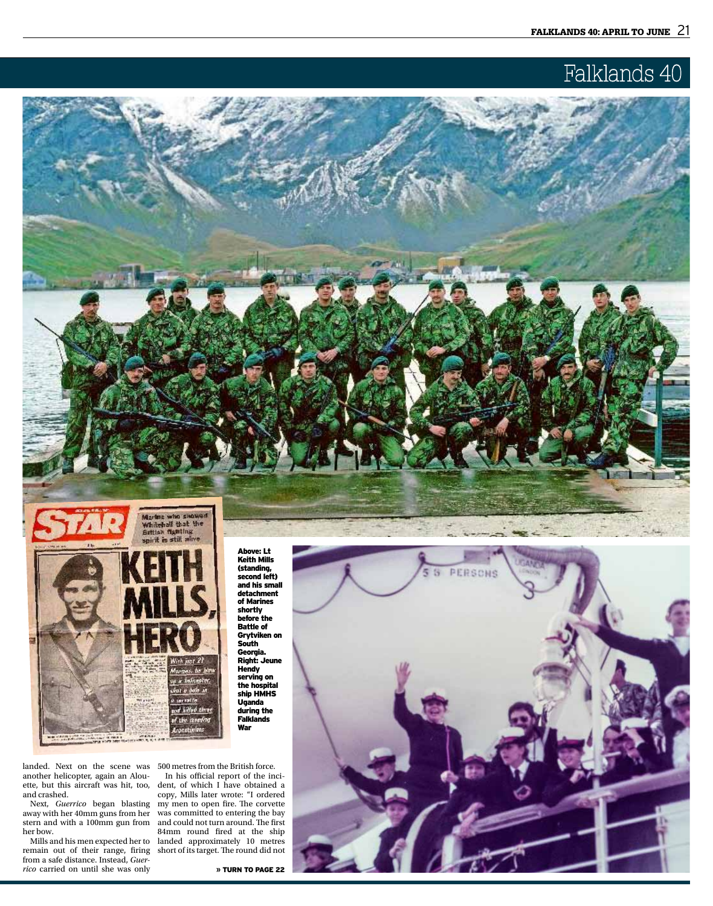



Above: Lt Keith Mills (standing, second left) and his small detachment of Marines shortly before the Battle of Grytviken on South Georgia. Right: Jeune **Hendy** serving on the hospital ship HMHS Uganda during the **Falklands** War

landed. Next on the scene was 500 metres from the British force. another helicopter, again an Alouette, but this aircraft was hit, too, and crashed.

Next, *Guerrico* began blasting away with her 40mm guns from her stern and with a 100mm gun from her bow.

Mills and his men expected her to remain out of their range, firing from a safe distance. Instead, *Guerrico* carried on until she was only

In his official report of the incident, of which I have obtained a copy, Mills later wrote: "I ordered my men to open fire. The corvette was committed to entering the bay and could not turn around. The first 84mm round fired at the ship landed approximately 10 metres short of its target. The round did not

**»** Turn to page 22

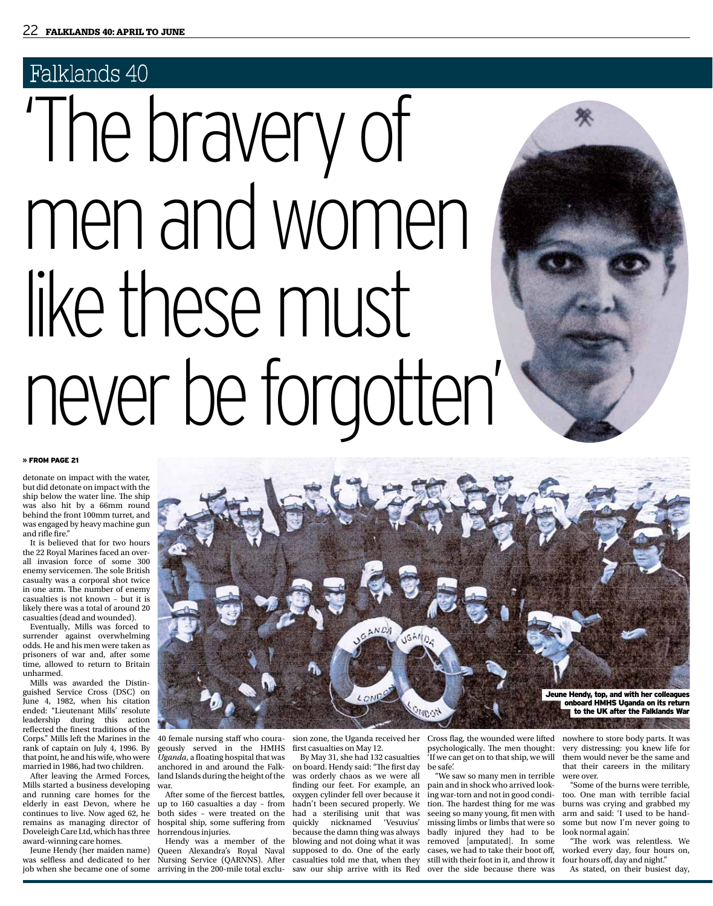# 'The bravery of men and women like these must never be forgotten'



#### **»** From page 21

detonate on impact with the water, but did detonate on impact with the ship below the water line. The ship was also hit by a 66mm round behind the front 100mm turret, and was engaged by heavy machine gun and rifle fire."

It is believed that for two hours the 22 Royal Marines faced an overall invasion force of some 300 enemy servicemen. The sole British casualty was a corporal shot twice in one arm. The number of enemy casualties is not known – but it is likely there was a total of around 20 casualties (dead and wounded).

Eventually, Mills was forced to surrender against overwhelming odds. He and his men were taken as prisoners of war and, after some time, allowed to return to Britain unharmed.

Mills was awarded the Distinguished Service Cross (DSC) on June 4, 1982, when his citation ended: "Lieutenant Mills' resolute leadership during this action reflected the finest traditions of the Corps." Mills left the Marines in the rank of captain on July 4, 1996. By that point, he and his wife, who were married in 1986, had two children.

After leaving the Armed Forces, Mills started a business developing and running care homes for the elderly in east Devon, where he continues to live. Now aged 62, he remains as managing director of Doveleigh Care Ltd, which has three award-winning care homes.

Jeune Hendy (her maiden name) was selfless and dedicated to her job when she became one of some



40 female nursing staff who courageously served in the HMHS *Uganda*, a floating hospital that was anchored in and around the Falkland Islands during the height of the war.

After some of the fiercest battles, up to 160 casualties a day – from both sides – were treated on the hospital ship, some suffering from horrendous injuries.

Hendy was a member of the Queen Alexandra's Royal Naval Nursing Service (QARNNS). After arriving in the 200-mile total exclusion zone, the Uganda received her first casualties on May 12.

By May 31, she had 132 casualties on board. Hendy said: "The first day was orderly chaos as we were all finding our feet. For example, an oxygen cylinder fell over because it hadn't been secured properly. We had a sterilising unit that was quickly nicknamed 'Vesuvius' because the damn thing was always blowing and not doing what it was supposed to do. One of the early casualties told me that, when they saw our ship arrive with its Red

psychologically. The men thought: 'If we can get on to that ship, we will be safe'.

"We saw so many men in terrible pain and in shock who arrived looking war-torn and not in good condition. The hardest thing for me was missing limbs or limbs that were so badly injured they had to be removed [amputated]. In some cases, we had to take their boot off, still with their foot in it, and throw it four hours off, day and night." over the side because there was

Cross flag, the wounded were lifted nowhere to store body parts. It was very distressing: you knew life for them would never be the same and that their careers in the military

seeing so many young, fit men with arm and said: 'I used to be handwere over. "Some of the burns were terrible, too. One man with terrible facial burns was crying and grabbed my some but now I'm never going to look normal again'.

"The work was relentless. We worked every day, four hours on,

As stated, on their busiest day,